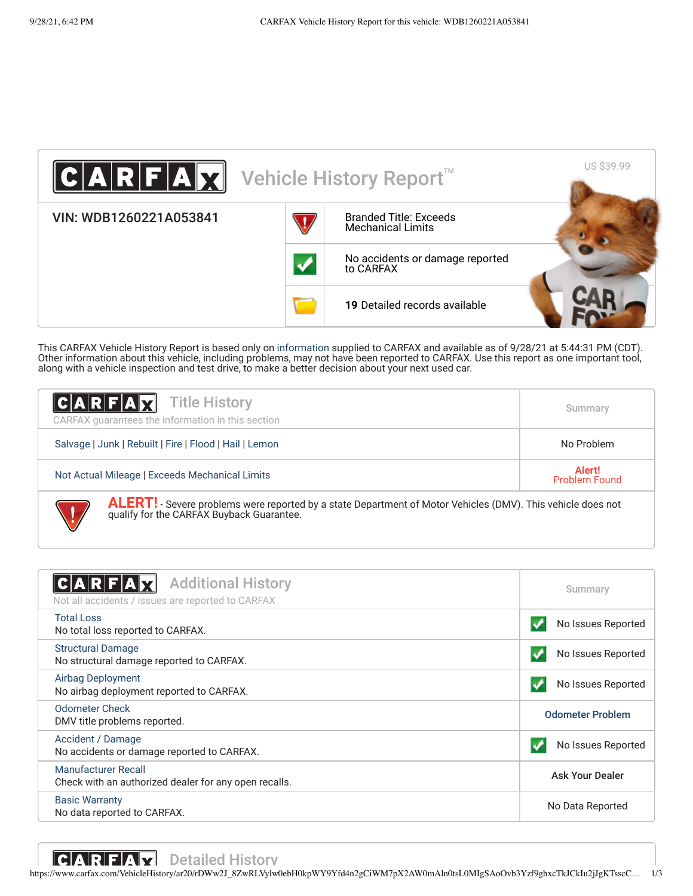

This CARFAX Vehicle History Report is based only on [information](http://www.carfax.com/company/vhr-data-sources) supplied to CARFAX and available as of 9/28/21 at 5:44:31 PM (CDT). Other information about this vehicle, including problems, may not have been reported to CARFAX. Use this report as one important tool, along with a vehicle inspection and test drive, to make a better decision about your next used car.

| <b>CARFAX</b> Title History<br>CARFAX quarantees the information in this section                                                                                | Summary    |
|-----------------------------------------------------------------------------------------------------------------------------------------------------------------|------------|
| Salvage   Junk   Rebuilt   Fire   Flood   Hail   Lemon                                                                                                          | No Problem |
| Alert!<br>Not Actual Mileage   Exceeds Mechanical Limits<br><b>Problem Found</b>                                                                                |            |
| <b>ALERT!</b> - Severe problems were reported by a state Department of Motor Vehicles (DMV). This vehicle does not<br>qualify for the CARFAX Buyback Guarantee. |            |

<span id="page-0-1"></span><span id="page-0-0"></span>

| <b>Additional History</b><br>Not all accidents / issues are reported to CARFAX      | Summary                 |
|-------------------------------------------------------------------------------------|-------------------------|
| <b>Total Loss</b><br>No total loss reported to CARFAX.                              | No Issues Reported      |
| <b>Structural Damage</b><br>No structural damage reported to CARFAX.                | No Issues Reported      |
| Airbag Deployment<br>No airbag deployment reported to CARFAX.                       | No Issues Reported      |
| <b>Odometer Check</b><br>DMV title problems reported.                               | <b>Odometer Problem</b> |
| Accident / Damage<br>No accidents or damage reported to CARFAX.                     | No Issues Reported      |
| <b>Manufacturer Recall</b><br>Check with an authorized dealer for any open recalls. | <b>Ask Your Dealer</b>  |
| <b>Basic Warranty</b><br>No data reported to CARFAX.                                | No Data Reported        |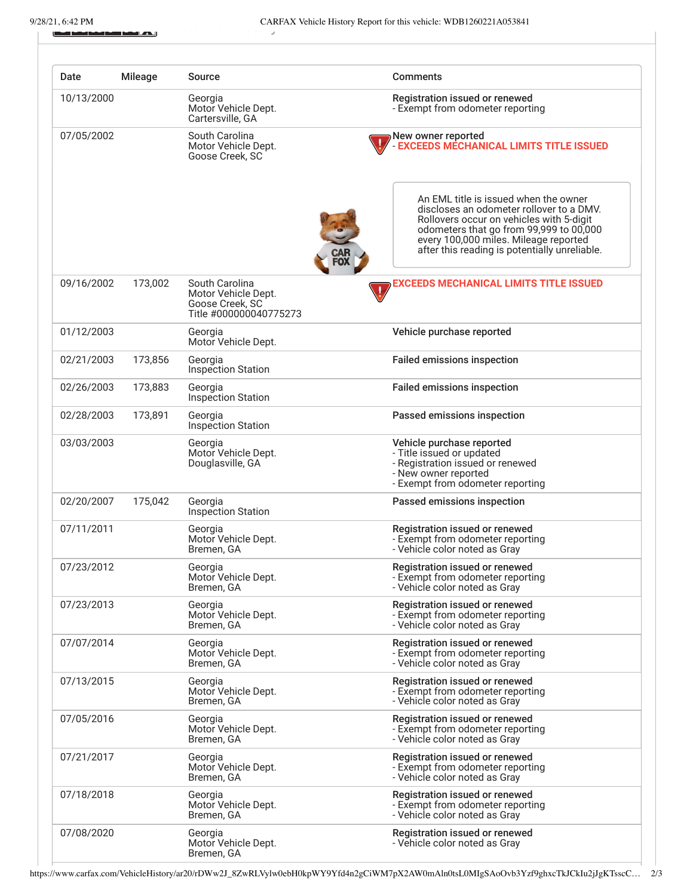ū

سمائك

<span id="page-1-0"></span>

| Date       | <b>Mileage</b> | Source                                                                             | <b>Comments</b>                                                                                                                                                                                                                                                    |
|------------|----------------|------------------------------------------------------------------------------------|--------------------------------------------------------------------------------------------------------------------------------------------------------------------------------------------------------------------------------------------------------------------|
| 10/13/2000 |                | Georgia<br>Motor Vehicle Dept.<br>Cartersville, GA                                 | Registration issued or renewed<br>- Exempt from odometer reporting                                                                                                                                                                                                 |
| 07/05/2002 |                | South Carolina<br>Motor Vehicle Dept.<br>Goose Creek, SC                           | New owner reported<br><b>EXCEEDS MECHANICAL LIMITS TITLE ISSUED</b>                                                                                                                                                                                                |
|            |                |                                                                                    | An EML title is issued when the owner<br>discloses an odometer rollover to a DMV.<br>Rollovers occur on vehicles with 5-digit<br>odometers that go from 99,999 to 00,000<br>every 100,000 miles. Mileage reported<br>after this reading is potentially unreliable. |
| 09/16/2002 | 173,002        | South Carolina<br>Motor Vehicle Dept.<br>Goose Creek, SC<br>Title #000000040775273 | EXCEEDS MECHANICAL LIMITS TITLE ISSUED                                                                                                                                                                                                                             |
| 01/12/2003 |                | Georgia<br>Motor Vehicle Dept.                                                     | Vehicle purchase reported                                                                                                                                                                                                                                          |
| 02/21/2003 | 173,856        | Georgia<br>Inspection Station                                                      | <b>Failed emissions inspection</b>                                                                                                                                                                                                                                 |
| 02/26/2003 | 173,883        | Georgia<br>Inspection Station                                                      | <b>Failed emissions inspection</b>                                                                                                                                                                                                                                 |
| 02/28/2003 | 173,891        | Georgia<br>Inspection Station                                                      | Passed emissions inspection                                                                                                                                                                                                                                        |
| 03/03/2003 |                | Georgia<br>Motor Vehicle Dept.<br>Douglasville, GA                                 | Vehicle purchase reported<br>- Title issued or updated<br>- Registration issued or renewed<br>- New owner reported<br>- Exempt from odometer reporting                                                                                                             |
| 02/20/2007 | 175,042        | Georgia<br><b>Inspection Station</b>                                               | Passed emissions inspection                                                                                                                                                                                                                                        |
| 07/11/2011 |                | Georgia<br>Motor Vehicle Dept.<br>Bremen, GA                                       | Registration issued or renewed<br>- Exempt from odometer reporting<br>- Vehicle color noted as Gray                                                                                                                                                                |
| 07/23/2012 |                | Georgia<br>Motor Vehicle Dept.<br>Bremen, GA                                       | Registration issued or renewed<br>- Exempt from odometer reporting<br>- Vehicle color noted as Gray                                                                                                                                                                |
| 07/23/2013 |                | Georgia<br>Motor Vehicle Dept.<br>Bremen, GA                                       | Registration issued or renewed<br>- Exempt from odometer reporting<br>- Vehicle color noted as Gray                                                                                                                                                                |
| 07/07/2014 |                | Georgia<br>Motor Vehicle Dept.<br>Bremen, GA                                       | Registration issued or renewed<br>- Exempt from odometer reporting<br>- Vehicle color noted as Gray                                                                                                                                                                |
| 07/13/2015 |                | Georgia<br>Motor Vehicle Dept.<br>Bremen, GA                                       | Registration issued or renewed<br>- Exempt from odometer reporting<br>- Vehicle color noted as Gray                                                                                                                                                                |
| 07/05/2016 |                | Georgia<br>Motor Vehicle Dept.<br>Bremen, GA                                       | Registration issued or renewed<br>- Exempt from odometer reporting<br>- Vehicle color noted as Gray                                                                                                                                                                |
| 07/21/2017 |                | Georgia<br>Motor Vehicle Dept.<br>Bremen, GA                                       | Registration issued or renewed<br>- Exempt from odometer reporting<br>- Vehicle color noted as Gray                                                                                                                                                                |
| 07/18/2018 |                | Georgia<br>Motor Vehicle Dept.<br>Bremen, GA                                       | Registration issued or renewed<br>- Exempt from odometer reporting<br>- Vehicle color noted as Gray                                                                                                                                                                |
| 07/08/2020 |                | Georgia<br>Motor Vehicle Dept.<br>Bremen, GA                                       | Registration issued or renewed<br>- Vehicle color noted as Gray                                                                                                                                                                                                    |